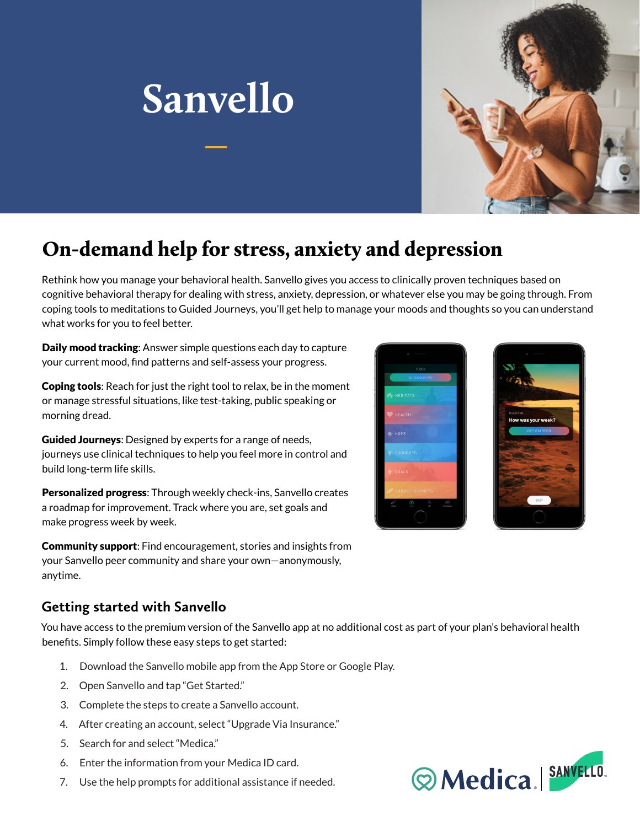



## On-demand help for stress, anxiety and depression

Rethink how you manage your behavioral health. Sanvello gives you access to clinically proven techniques based on cognitive behavioral therapy for dealing with stress, anxiety, depression, or whatever else you may be going through. From coping tools to meditations to Guided Journeys, you'll get help to manage your moods and thoughts so you can understand what works for you to feel better.

Daily mood tracking: Answer simple questions each day to capture your current mood, find patterns and self-assess your progress.

**Coping tools:** Reach for just the right tool to relax, be in the moment or manage stressful situations, like test-taking, public speaking or morning dread.

Guided Journeys: Designed by experts for a range of needs, journeys use clinical techniques to help you feel more in control and build long-term life skills.

Personalized progress: Through weekly check-ins, Sanvello creates a roadmap for improvement. Track where you are, set goals and make progress week by week.

Community support: Find encouragement, stories and insights from your Sanvello peer community and share your own—anonymously, anytime.

## **Getting started with Sanvello**

You have access to the premium version of the Sanvello app at no additional cost as part of your plan's behavioral health benefits. Simply follow these easy steps to get started:

- 1. Download the Sanvello mobile app from the App Store or Google Play.
- 2. Open Sanvello and tap "Get Started."
- 3. Complete the steps to create a Sanvello account.
- 4. After creating an account, select "Upgrade Via Insurance."
- 5. Search for and select "Medica."
- 6. Enter the information from your Medica ID card.
- 7. Use the help prompts for additional assistance if needed.